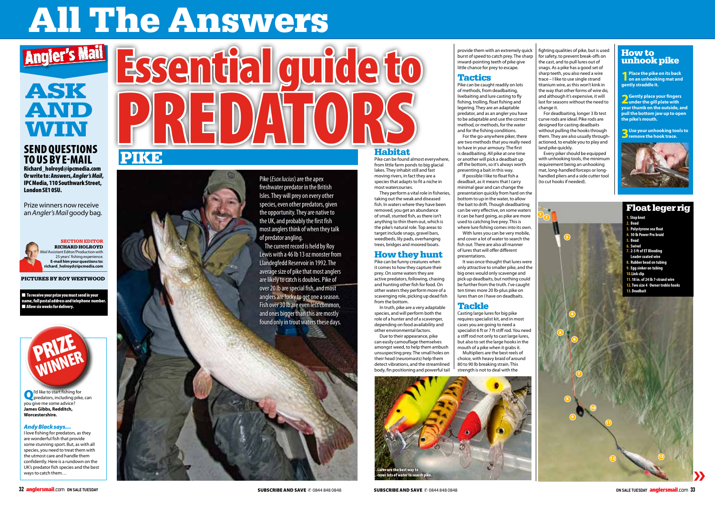# All The Answers

**Q**<sup>I'd</sup> like to start fishing for<br>
predators, including pike, can you give me some advice? **James Gibbs, Redditch, Worcestershire.**

#### *Andy Black says…*

I love fishing for predators, as they are wonderful fish that provide some stunning sport. But, as with all species, you need to treat them with the utmost care and handle them confidently. Here is a rundown on the UK's predator fish species and the best ways to catch them…

#### SECTION EDITOR RICHARD HOLROYD

*Mail* Assistant Editor/Production with 25 years' fishing experience. **E-mail him your questions to: richard\_holroyd@ipcmedia.com**

PICTURES BY ROY WESTWOOD

 $\blacksquare$  To receive your prize you must send in your name, full postal address and telephone number. **n** Allow six weeks for delivery.

### Send questions to us by E-MAIL



Richard\_holroyd@ipcmedia.com Or write to: Answers, *Angler's Mail*, IPC Media, 110 Southwark Street, London SE1 0SU.

Prize winners now receive an *Angler's Mail* goody bag.



## AND WIN



Pike (*Esox lucius*) are the apex freshwater predator in the British Isles. They will prey on every other species, even other predators, given the opportunity. They are native to the UK, and probably the first fish most anglers think of when they talk of predator angling.

The current record is held by Roy Lewis with a 46 lb 13 oz monster from Llandegfedd Reservoir in 1992. The average size of pike that most anglers are likely to catch is doubles. Pike of over 20 lb are special fish, and most anglers are lucky to get one a season. Fish over 30 lb are even less common, and ones bigger than this are mostly found only in trout waters these days.

Pike can be found almost everywhere, from little farm ponds to big glacial lakes. They inhabit still and fast moving rivers, in fact they are a species that adapts to fit a niche in most watercourses.

They perform a vital role in fisheries, taking out the weak and diseased fish. In waters where they have been removed, you get an abundance of small, stunted fish, as there isn't anything to thin them out, which is the pike's natural role. Top areas to target include snags, gravel bars, weedbeds, lily pads, overhanging trees, bridges and moored boats.

> It was once thought that lures were only attractive to smaller pike, and the big ones would only scavenge and pick up deadbaits, but nothing could be further from the truth. I've caught ten times more 20 lb-plus pike on lures than on I have on deadbaits.

#### How they hunt

Pike can be funny creatures when it comes to how they capture their prey. On some waters they are active predators, following, chasing and hunting other fish for food. On other waters they perform more of a scavenging role, picking up dead fish from the bottom.

For deadbaiting, longer 3 lb test curve rods are ideal. Pike rods are designed for casting deadbaits without pulling the hooks through them. They are also usually throughactioned, to enable you to play and land pike quickly.

In truth, pike are a very adaptable species, and will perform both the role of a hunter and of a scavenger, depending on food availability and other environmental factors.

Due to their appearance, pike can easily camouflage themselves amongst weed, to help them ambush unsuspecting prey. The small holes on their head (neuromasts) help them detect vibrations, and the streamlined body, fin positioning and powerful tail **1** Place the pike on its back<br>**on an unhooking mat and gently straddle it.**

provide them with an extremely quick burst of speed to catch prey. The sharp inward-pointing teeth of pike give little chance for prey to escape.

#### **Tactics**



Pike can be caught readily on lots of methods, from deadbaiting, livebaiting and lure casting to fly fishing, trolling, float fishing and legering. They are an adaptable predator, and as an angler you have to be adaptable and use the correct method, or methods, for the water and for the fishing conditions.

For the go-anywhere piker, there are two methods that you really need to have in your armoury. The first is deadbaiting. All pike at one time or another will pick a deadbait up off the bottom, so it's always worth presenting a bait in this way.

If possible I like to float fish a deadbait, as it means that I carry minimal gear and can change the presentation quickly from hard on the bottom to up in the water, to allow the bait to drift. Though deadbaiting can be very effective, on some waters it can be hard going, as pike are more used to catching live prey. This is where lure fishing comes into its own.

With lures you can be very mobile, and cover a lot of water to search the fish out. There are also all manner of lures that will offer different presentations.

#### Tackle

Casting large lures for big pike requires specialist kit, and in most cases you are going to need a specialist 6 ft or 7 ft stiff rod. You need a stiff rod not only to cast large lures, but also to set the large hooks in the mouth of a pike when it grabs it.

Multipliers are the best reels of choice, with heavy braid of around 80 to 90 lb breaking strain. This



over lots of water to search pike.

res are the best way to

fighting qualities of pike, but is used for safety, to prevent break-offs on the cast, and to pull lures out of snags. As a pike has a good set of sharp teeth, you also need a wire trace – I like to use single strand titanium wire, as this won't kink in the way that other forms of wire do, and although it's expensive, it will last for seasons without the need to change it.

Every piker should be equipped with unhooking tools, the minimum requirement being an unhooking mat, long-handled forceps or longhandled pliers and a side cutter tool (to cut hooks if needed).

#### How to unhook pike

**2Gently place your fingers under the gill plate with your thumb on the outside, and pull the bottom jaw up to open the pike's mouth.** 

**3Use your unhooking tools to remove the hook trace.**

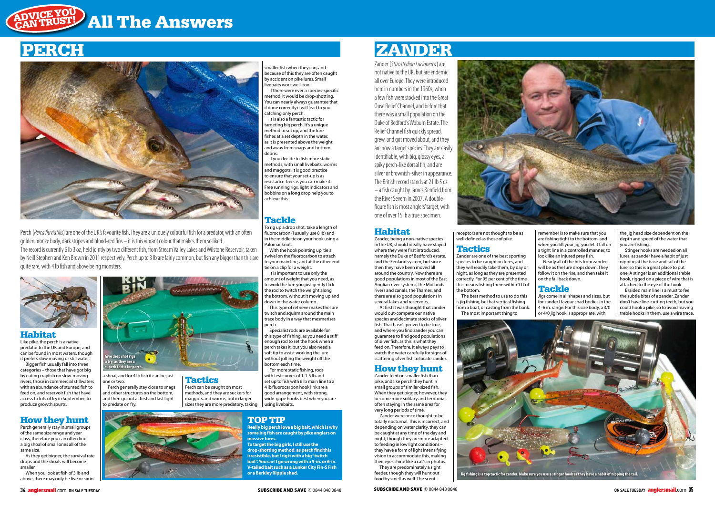#### Habitat

Like pike, the perch is a native predator to the UK and Europe, and can be found in most waters, though it prefers slow moving or still water.

 $P = 2 - 2$   $= 2$  in small groups of the same size range and year class, therefore you can often find a big shoal of small ones all of the same size.

Bigger fish usually fall into three categories – those that have got big by eating crayfish on slow-moving rivers, those in commercial stillwaters with an abundance of stunted fish to feed on, and reservoir fish that have access to lots of fry in September, to produce growth spurts.

Perch generally stay close to snags and other structures on the bottom, and then go out at first and last light to predate on fry

#### How they hunt

As they get bigger, the survival rate drops and the shoals will become smaller.

When you look at fish of 3 lb and above, there may only be five or six in a shoal, and for 4 lb fish it can be just one or two.

Tactics

Perch can be caught on most methods, and they are suckers for maggots and worms, but in larger sizes they are more predatory, taking

#### Habitat

Zander, being a non-native species in the UK, should ideally have stayed where they were first introduced, namely the Duke of Bedford's estate, and the Fenland system, but since then they have been moved all around the country. Now there are good populations in most of the East Anglian river systems, the Midlands rivers and canals, the Thames, and there are also good populations in several lakes and reservoirs.

At first it was thought that zander would out-compete our native species and decimate stocks of silver fish. That hasn't proved to be true, and where you find zander you can guarantee to find good populations of silver fish, as this is what they feed on. Therefore, it always pays to watch the water carefully for signs of scattering silver fish to locate zander.

#### How they hunt

Zander feed on smaller fish than pike, and like perch they hunt in small groups of similar-sized fish. When they get bigger, however, they become more solitary and territorial, often staying in the same area for very long periods of time.

Zander were once thought to be totally nocturnal. This is incorrect, and depending on water clarity, they can be caught at any time of the day and night, though they are more adapted to feeding in low light conditions – they have a form of light intensifying vision to accommodate this, making their eyes shine like a cat's in photos.

They are predominately a sight feeder, though they will hunt out food by smell as well. The scent



receptors are not thought to be as well defined as those of pike.

#### Tactics

Zander are one of the best sporting species to be caught on lures, and they will readily take them, by day or night, as long as they are presented correctly. For 95 per cent of the time this means fishing them within 1 ft of the bottom.

The best method to use to do this is jig fishing, be that vertical fishing from a boat, or casting from the bank. The most important thing to

remember is to make sure that you are fishing tight to the bottom, and when you lift your jig, you let it fall on a tight line in a controlled manner, to look like an injured prey fish.

Nearly all of the hits from zander will be as the lure drops down. They follow it on the rise, and then take it on the fall back down.

#### Tackle

Jigs come in all shapes and sizes, but for zander I favour shad bodies in the 4 -6 in. range. For this size body, a 3/0 or 4/0 jig hook is appropriate, with

the jig head size dependent on the depth and speed of the water that you are fishing.

Stinger hooks are needed on all lures, as zander have a habit of just nipping at the base and tail of the lure, so this is a great place to put one. A stinger is an additional treble hook, rigged on a piece of wire that is attached to the eye of the hook.

Braided main line is a must to feel the subtle bites of a zander. Zander don't have line-cutting teeth, but you could hook a pike, so to avoid leaving treble hooks in them, use a wire trace.

## PERCH ZANDER

### ADVICE YOU **ADVICE TST! All The Answers**



Perch (*Perca fluviatilis*) are one of the UK's favourite fish. They are a uniquely colourful fish for a predator, with an often golden bronze body, dark stripes and blood-red fins – it is this vibrant colour that makes them so liked. The record is currently 6 lb 3 oz, held jointly by two different fish, from Stream Valley Lakes and Wilstone Reservoir, taken by Neill Stephen and Ken Brown in 2011 respectively. Perch up to 3 lb are fairly common, but fish any bigger than this are quite rare, with 4 lb fish and above being monsters.





If there were ever a species-specific method, it would be drop-shotting. You can nearly always guarantee that if done correctly it will lead to you catching only perch. It is also a fantastic tactic for

targeting big perch. It's a unique method to set up, and the lure fishes at a set depth in the water, as it is presented above the weight and away from snags and bottom debris.

If you decide to fish more static methods, with small livebaits, worms and maggots, it is good practice to ensure that your set-up is as resistance-free as you can make it. Free running rigs, light indicators and bobbins on a long drop help you to achieve this.

#### **Tackle**

To rig up a drop shot, take a length of fluorocarbon (I usually use 8 lb) and in the middle tie on your hook using a Palomar knot.

With the hook pointing up, tie a wivel on the fluorocarbon to attach to your main line, and at the other end tie on a clip for a weight.

It is important to use only the amount of weight that you need, as to work the lure you just gently flick the rod to twitch the weight along the bottom, without it moving up and down in the water column. This type of retrieve makes the lure

twitch and squirm around the main trace body in a way that mesmerises perch.

Specialist rods are available for this type of fishing, as you need a stiff enough rod to set the hook when a perch takes it, but you also need a soft tip to assist working the lure without jolting the weight off the bottom each time.

For more static fishing, rods with test curves of 1-1.5 lb and set up to fish with 6 lb main line to a 4 lb fluorocarbon hook link are a good arrangement, with strong, wide-gape hooks best when you are using livebaits.

#### TOP TIP

**Really big perch love a big bait, which is why some big fish are caught by pike anglers on massive lures.**

**To target the big girls, I still use the drop-shotting method, as perch find this irresistible, but I rig it with a big "twitch bait". You can't go wrong with a 5-in. or 6-in. V-tailed bait such as a Lunker City Fin-S Fish or a Berkley Ripple shad.**

Zander (*Stizostedion Lucioperca*) are not native to the UK, but are endemic all over Europe. They were introduced here in numbers in the 1960s, when a few fish were stocked into the Great Ouse Relief Channel, and before that there was a small population on the Duke of Bedford's Woburn Estate. The Relief Channel fish quickly spread, grew, and got moved about, and they are now a target species. They are easily identifiable, with big, glossy eyes, a spiky perch-like dorsal fin, and are silver or brownish-silver in appearance. The British record stands at 21 lb 5 oz – a fish caught by James Benfield from the River Severn in 2007. A doublefigure fish is most anglers' target, with one of over 15 lb a true specimen.